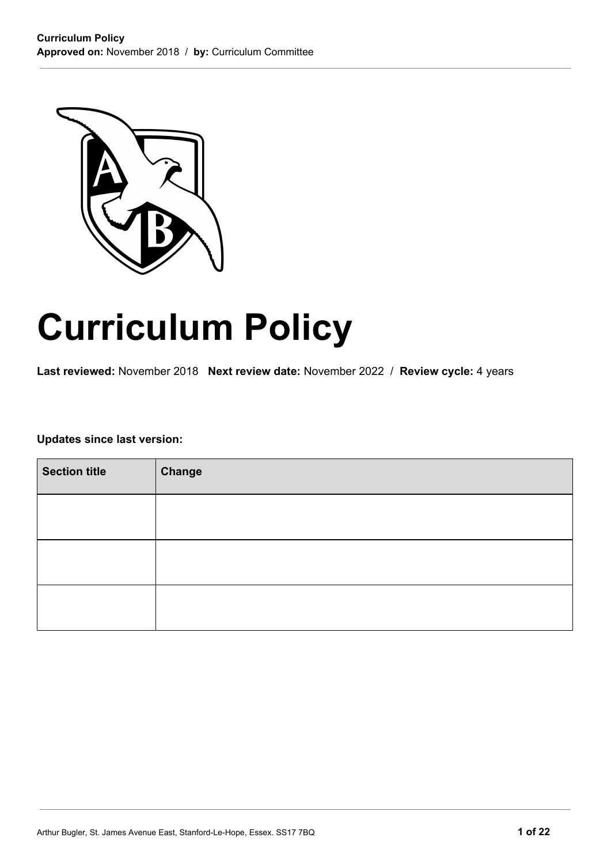

# **Curriculum Policy**

**Last reviewed:** November 2018 **Next review date:** November 2022 / **Review cycle:** 4 years

**Updates since last version:**

| <b>Section title</b> | <b>Change</b> |
|----------------------|---------------|
|                      |               |
|                      |               |
|                      |               |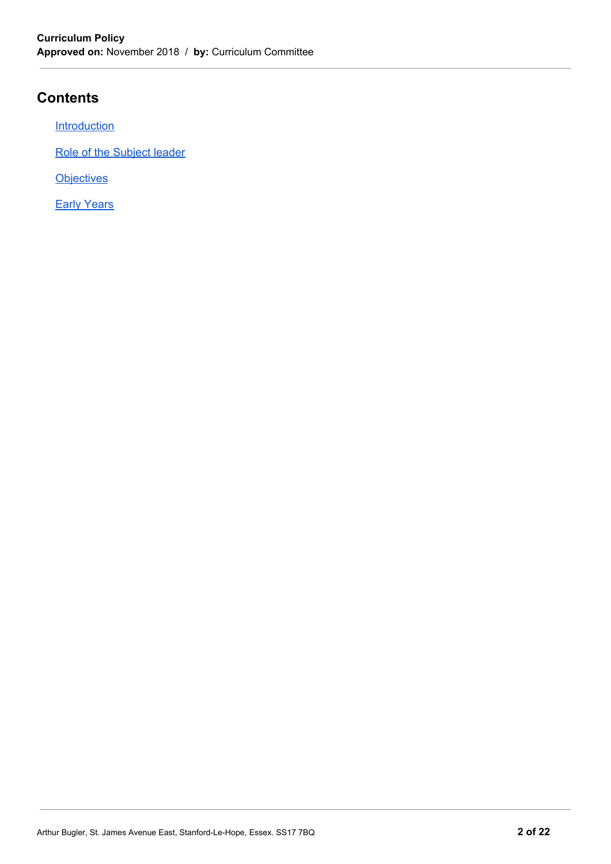# **Contents**

**[Introduction](#page-2-0)** 

Role of the Subject leader

**Objectives** 

**Early [Years](#page-21-0)**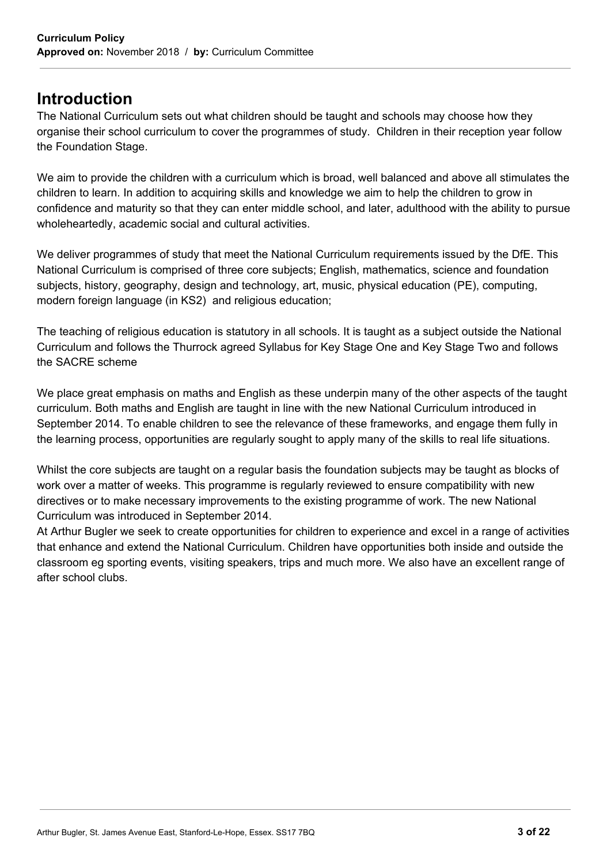# <span id="page-2-0"></span>**Introduction**

The National Curriculum sets out what children should be taught and schools may choose how they organise their school curriculum to cover the programmes of study. Children in their reception year follow the Foundation Stage.

We aim to provide the children with a curriculum which is broad, well balanced and above all stimulates the children to learn. In addition to acquiring skills and knowledge we aim to help the children to grow in confidence and maturity so that they can enter middle school, and later, adulthood with the ability to pursue wholeheartedly, academic social and cultural activities.

We deliver programmes of study that meet the National Curriculum requirements issued by the DfE. This National Curriculum is comprised of three core subjects; English, mathematics, science and foundation subjects, history, geography, design and technology, art, music, physical education (PE), computing, modern foreign language (in KS2) and religious education;

The teaching of religious education is statutory in all schools. It is taught as a subject outside the National Curriculum and follows the Thurrock agreed Syllabus for Key Stage One and Key Stage Two and follows the SACRE scheme

We place great emphasis on maths and English as these underpin many of the other aspects of the taught curriculum. Both maths and English are taught in line with the new National Curriculum introduced in September 2014. To enable children to see the relevance of these frameworks, and engage them fully in the learning process, opportunities are regularly sought to apply many of the skills to real life situations.

Whilst the core subjects are taught on a regular basis the foundation subjects may be taught as blocks of work over a matter of weeks. This programme is regularly reviewed to ensure compatibility with new directives or to make necessary improvements to the existing programme of work. The new National Curriculum was introduced in September 2014.

At Arthur Bugler we seek to create opportunities for children to experience and excel in a range of activities that enhance and extend the National Curriculum. Children have opportunities both inside and outside the classroom eg sporting events, visiting speakers, trips and much more. We also have an excellent range of after school clubs.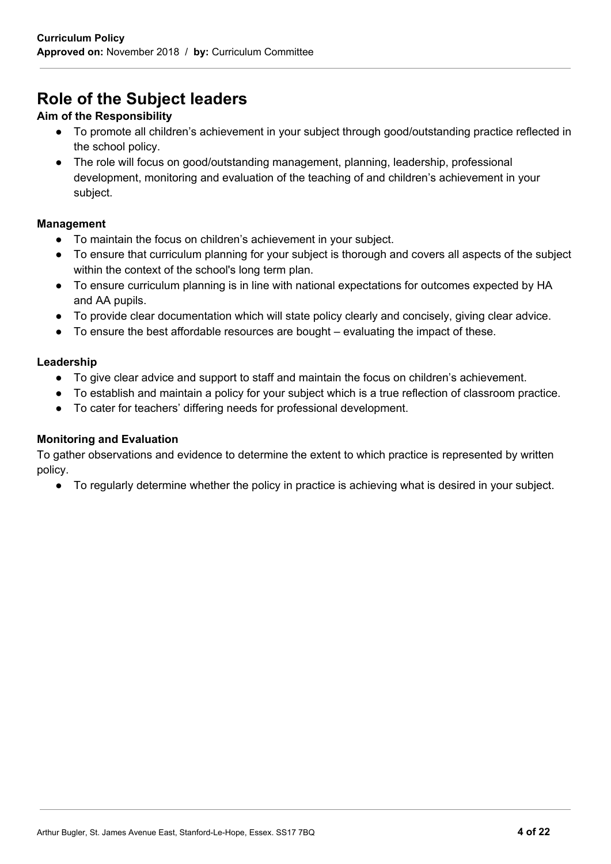# **Role of the Subject leaders**

# **Aim of the Responsibility**

- To promote all children's achievement in your subject through good/outstanding practice reflected in the school policy.
- The role will focus on good/outstanding management, planning, leadership, professional development, monitoring and evaluation of the teaching of and children's achievement in your subject.

# **Management**

- To maintain the focus on children's achievement in your subject.
- To ensure that curriculum planning for your subject is thorough and covers all aspects of the subject within the context of the school's long term plan.
- To ensure curriculum planning is in line with national expectations for outcomes expected by HA and AA pupils.
- To provide clear documentation which will state policy clearly and concisely, giving clear advice.
- To ensure the best affordable resources are bought evaluating the impact of these.

# **Leadership**

- To give clear advice and support to staff and maintain the focus on children's achievement.
- To establish and maintain a policy for your subject which is a true reflection of classroom practice.
- To cater for teachers' differing needs for professional development.

# **Monitoring and Evaluation**

To gather observations and evidence to determine the extent to which practice is represented by written policy.

● To regularly determine whether the policy in practice is achieving what is desired in your subject.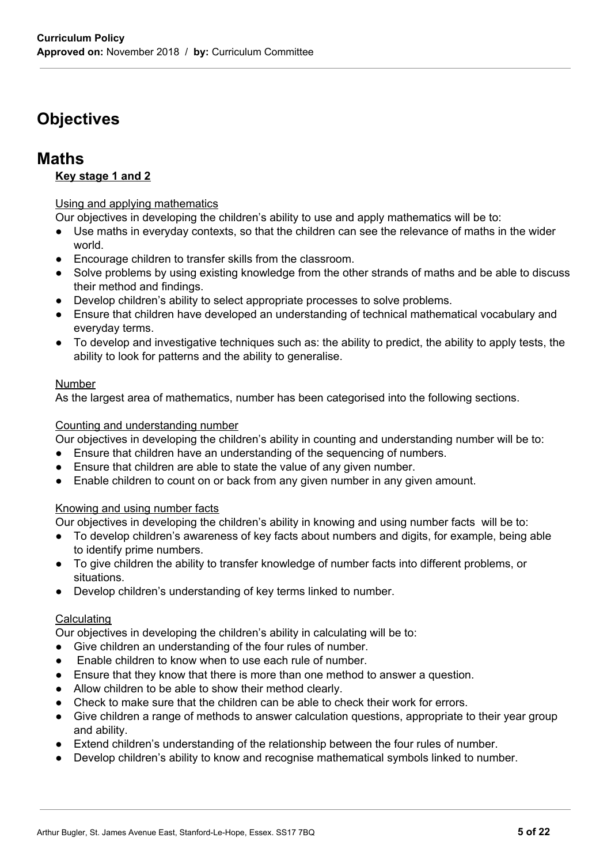# **Objectives**

# **Maths**

# **Key stage 1 and 2**

## Using and applying mathematics

Our objectives in developing the children's ability to use and apply mathematics will be to:

- Use maths in everyday contexts, so that the children can see the relevance of maths in the wider world.
- Encourage children to transfer skills from the classroom.
- Solve problems by using existing knowledge from the other strands of maths and be able to discuss their method and findings.
- Develop children's ability to select appropriate processes to solve problems.
- Ensure that children have developed an understanding of technical mathematical vocabulary and everyday terms.
- To develop and investigative techniques such as: the ability to predict, the ability to apply tests, the ability to look for patterns and the ability to generalise.

#### Number

As the largest area of mathematics, number has been categorised into the following sections.

#### Counting and understanding number

Our objectives in developing the children's ability in counting and understanding number will be to:

- Ensure that children have an understanding of the sequencing of numbers.
- Ensure that children are able to state the value of any given number.
- Enable children to count on or back from any given number in any given amount.

# Knowing and using number facts

Our objectives in developing the children's ability in knowing and using number facts will be to:

- To develop children's awareness of key facts about numbers and digits, for example, being able to identify prime numbers.
- To give children the ability to transfer knowledge of number facts into different problems, or situations.
- Develop children's understanding of key terms linked to number.

#### **Calculating**

Our objectives in developing the children's ability in calculating will be to:

- Give children an understanding of the four rules of number.
- Enable children to know when to use each rule of number.
- Ensure that they know that there is more than one method to answer a question.
- Allow children to be able to show their method clearly.
- Check to make sure that the children can be able to check their work for errors.
- Give children a range of methods to answer calculation questions, appropriate to their year group and ability.
- Extend children's understanding of the relationship between the four rules of number.
- Develop children's ability to know and recognise mathematical symbols linked to number.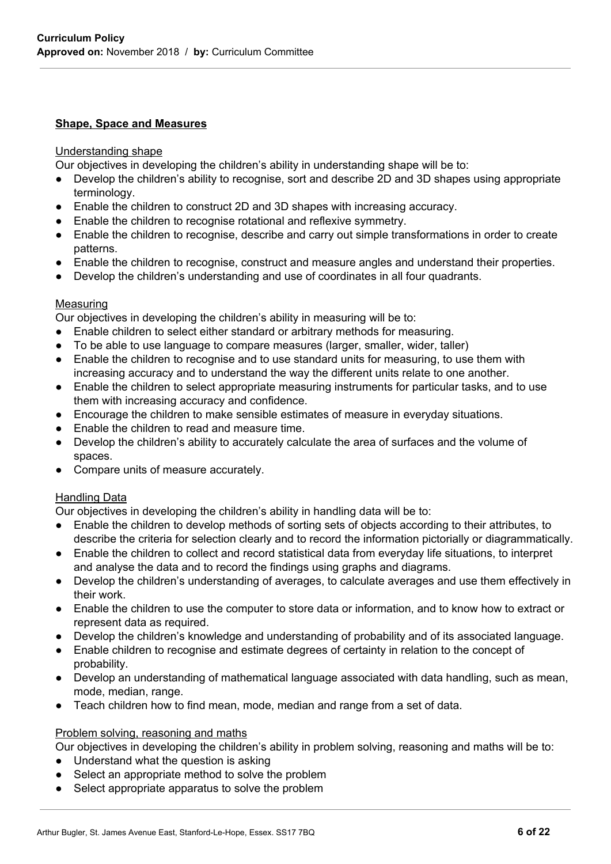#### **Shape, Space and Measures**

#### Understanding shape

Our objectives in developing the children's ability in understanding shape will be to:

- Develop the children's ability to recognise, sort and describe 2D and 3D shapes using appropriate terminology.
- Enable the children to construct 2D and 3D shapes with increasing accuracy.
- Enable the children to recognise rotational and reflexive symmetry.
- Enable the children to recognise, describe and carry out simple transformations in order to create patterns.
- Enable the children to recognise, construct and measure angles and understand their properties.
- Develop the children's understanding and use of coordinates in all four quadrants.

#### **Measuring**

Our objectives in developing the children's ability in measuring will be to:

- Enable children to select either standard or arbitrary methods for measuring.
- To be able to use language to compare measures (larger, smaller, wider, taller)
- Enable the children to recognise and to use standard units for measuring, to use them with increasing accuracy and to understand the way the different units relate to one another.
- Enable the children to select appropriate measuring instruments for particular tasks, and to use them with increasing accuracy and confidence.
- Encourage the children to make sensible estimates of measure in everyday situations.
- Enable the children to read and measure time.
- Develop the children's ability to accurately calculate the area of surfaces and the volume of spaces.
- Compare units of measure accurately.

#### Handling Data

Our objectives in developing the children's ability in handling data will be to:

- Enable the children to develop methods of sorting sets of objects according to their attributes, to describe the criteria for selection clearly and to record the information pictorially or diagrammatically.
- Enable the children to collect and record statistical data from everyday life situations, to interpret and analyse the data and to record the findings using graphs and diagrams.
- Develop the children's understanding of averages, to calculate averages and use them effectively in their work.
- Enable the children to use the computer to store data or information, and to know how to extract or represent data as required.
- Develop the children's knowledge and understanding of probability and of its associated language.
- Enable children to recognise and estimate degrees of certainty in relation to the concept of probability.
- Develop an understanding of mathematical language associated with data handling, such as mean, mode, median, range.
- Teach children how to find mean, mode, median and range from a set of data.

#### Problem solving, reasoning and maths

Our objectives in developing the children's ability in problem solving, reasoning and maths will be to:

- Understand what the question is asking
- Select an appropriate method to solve the problem
- Select appropriate apparatus to solve the problem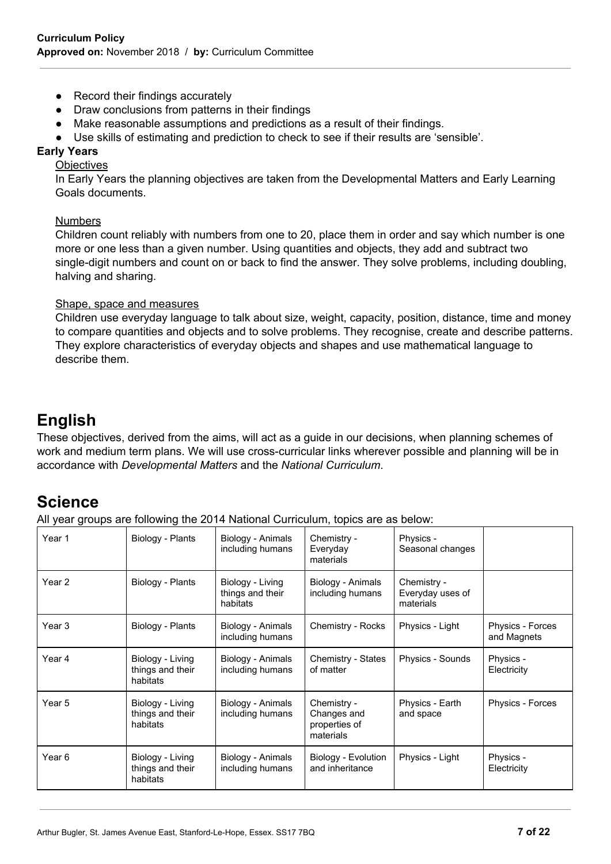- Record their findings accurately
- Draw conclusions from patterns in their findings
- Make reasonable assumptions and predictions as a result of their findings.
- Use skills of estimating and prediction to check to see if their results are 'sensible'.

#### **Early Years**

**Objectives** 

In Early Years the planning objectives are taken from the Developmental Matters and Early Learning Goals documents.

#### Numbers

Children count reliably with numbers from one to 20, place them in order and say which number is one more or one less than a given number. Using quantities and objects, they add and subtract two single-digit numbers and count on or back to find the answer. They solve problems, including doubling, halving and sharing.

#### Shape, space and measures

Children use everyday language to talk about size, weight, capacity, position, distance, time and money to compare quantities and objects and to solve problems. They recognise, create and describe patterns. They explore characteristics of everyday objects and shapes and use mathematical language to describe them.

# **English**

These objectives, derived from the aims, will act as a guide in our decisions, when planning schemes of work and medium term plans. We will use cross-curricular links wherever possible and planning will be in accordance with *Developmental Matters* and the *National Curriculum*.

# **Science**

All year groups are following the 2014 National Curriculum, topics are as below:

| Year 1 | Biology - Plants                                 | Biology - Animals<br>including humans            | Chemistry -<br>Everyday<br>materials                     | Physics -<br>Seasonal changes                |                                 |
|--------|--------------------------------------------------|--------------------------------------------------|----------------------------------------------------------|----------------------------------------------|---------------------------------|
| Year 2 | Biology - Plants                                 | Biology - Living<br>things and their<br>habitats | Biology - Animals<br>including humans                    | Chemistry -<br>Everyday uses of<br>materials |                                 |
| Year 3 | Biology - Plants                                 | Biology - Animals<br>including humans            | Chemistry - Rocks                                        | Physics - Light                              | Physics - Forces<br>and Magnets |
| Year 4 | Biology - Living<br>things and their<br>habitats | Biology - Animals<br>including humans            | Chemistry - States<br>of matter                          | Physics - Sounds                             | Physics -<br>Electricity        |
| Year 5 | Biology - Living<br>things and their<br>habitats | Biology - Animals<br>including humans            | Chemistry -<br>Changes and<br>properties of<br>materials | Physics - Earth<br>and space                 | Physics - Forces                |
| Year 6 | Biology - Living<br>things and their<br>habitats | Biology - Animals<br>including humans            | Biology - Evolution<br>and inheritance                   | Physics - Light                              | Physics -<br>Electricity        |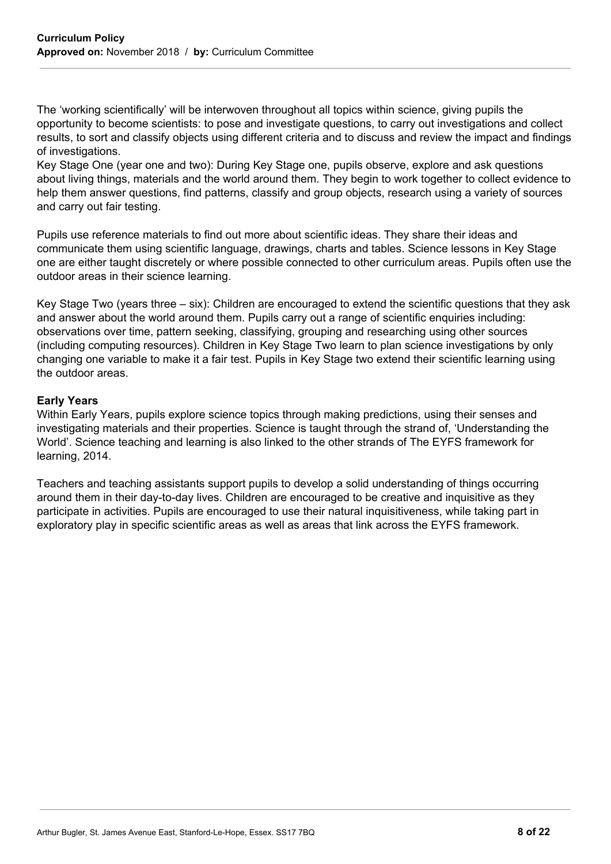The 'working scientifically' will be interwoven throughout all topics within science, giving pupils the opportunity to become scientists: to pose and investigate questions, to carry out investigations and collect results, to sort and classify objects using different criteria and to discuss and review the impact and findings of investigations.

Key Stage One (year one and two): During Key Stage one, pupils observe, explore and ask questions about living things, materials and the world around them. They begin to work together to collect evidence to help them answer questions, find patterns, classify and group objects, research using a variety of sources and carry out fair testing.

Pupils use reference materials to find out more about scientific ideas. They share their ideas and communicate them using scientific language, drawings, charts and tables. Science lessons in Key Stage one are either taught discretely or where possible connected to other curriculum areas. Pupils often use the outdoor areas in their science learning.

Key Stage Two (years three – six): Children are encouraged to extend the scientific questions that they ask and answer about the world around them. Pupils carry out a range of scientific enquiries including: observations over time, pattern seeking, classifying, grouping and researching using other sources (including computing resources). Children in Key Stage Two learn to plan science investigations by only changing one variable to make it a fair test. Pupils in Key Stage two extend their scientific learning using the outdoor areas.

#### **Early Years**

Within Early Years, pupils explore science topics through making predictions, using their senses and investigating materials and their properties. Science is taught through the strand of, 'Understanding the World'. Science teaching and learning is also linked to the other strands of The EYFS framework for learning, 2014.

Teachers and teaching assistants support pupils to develop a solid understanding of things occurring around them in their day-to-day lives. Children are encouraged to be creative and inquisitive as they participate in activities. Pupils are encouraged to use their natural inquisitiveness, while taking part in exploratory play in specific scientific areas as well as areas that link across the EYFS framework.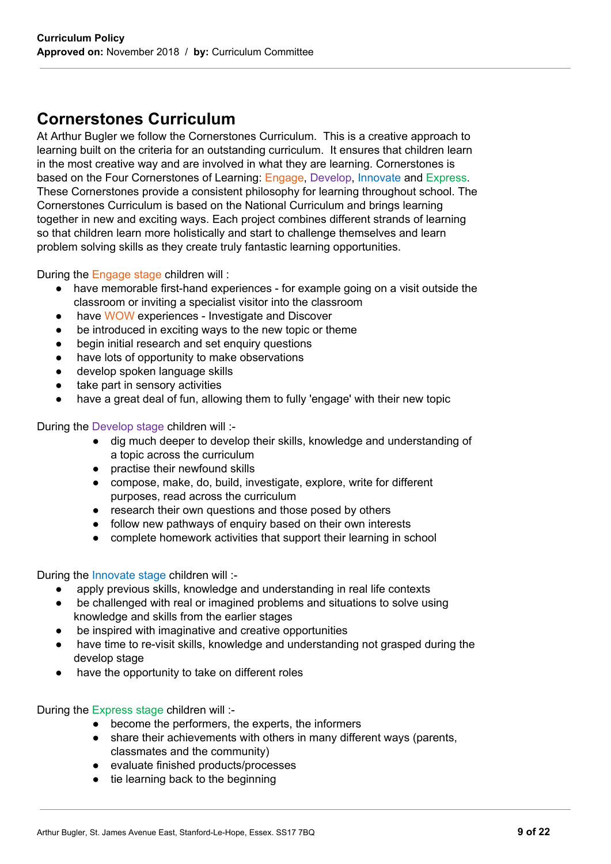# **Cornerstones Curriculum**

At Arthur Bugler we follow the Cornerstones Curriculum. This is a creative approach to learning built on the criteria for an outstanding curriculum. It ensures that children learn in the most creative way and are involved in what they are learning. Cornerstones is based on the Four Cornerstones of Learning: Engage, Develop, Innovate and Express. These Cornerstones provide a consistent philosophy for learning throughout school. The Cornerstones Curriculum is based on the National Curriculum and brings learning together in new and exciting ways. Each project combines different strands of learning so that children learn more holistically and start to challenge themselves and learn problem solving skills as they create truly fantastic learning opportunities.

During the Engage stage children will :

- have memorable first-hand experiences for example going on a visit outside the classroom or inviting a specialist visitor into the classroom
- have WOW experiences Investigate and Discover
- be introduced in exciting ways to the new topic or theme
- begin initial research and set enquiry questions
- have lots of opportunity to make observations
- develop spoken language skills
- take part in sensory activities
- have a great deal of fun, allowing them to fully 'engage' with their new topic

During the Develop stage children will :-

- dig much deeper to develop their skills, knowledge and understanding of a topic across the curriculum
- practise their newfound skills
- compose, make, do, build, investigate, explore, write for different purposes, read across the curriculum
- research their own questions and those posed by others
- follow new pathways of enquiry based on their own interests
- complete homework activities that support their learning in school

During the Innovate stage children will :-

- apply previous skills, knowledge and understanding in real life contexts
- be challenged with real or imagined problems and situations to solve using knowledge and skills from the earlier stages
- be inspired with imaginative and creative opportunities
- have time to re-visit skills, knowledge and understanding not grasped during the develop stage
- have the opportunity to take on different roles

During the Express stage children will :-

- become the performers, the experts, the informers
- share their achievements with others in many different ways (parents, classmates and the community)
- evaluate finished products/processes
- tie learning back to the beginning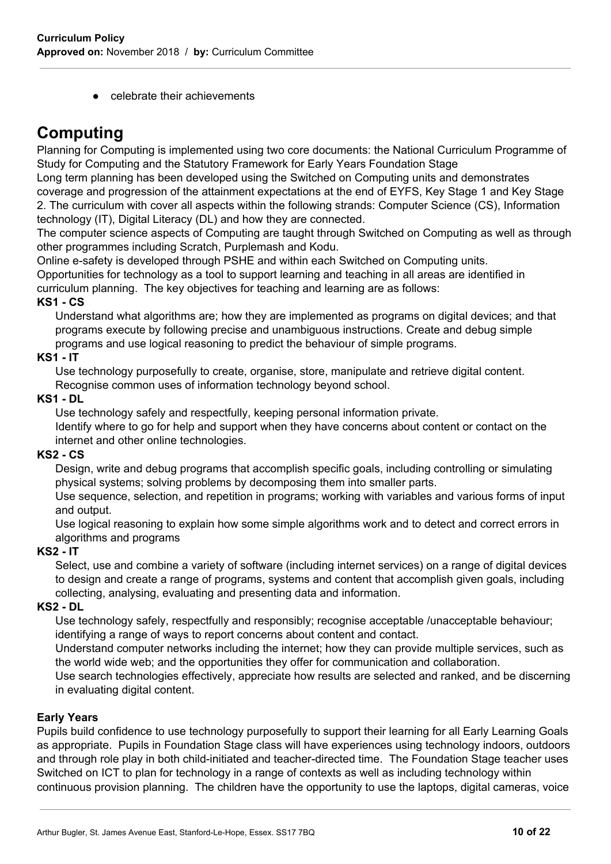● celebrate their achievements

# **Computing**

Planning for Computing is implemented using two core documents: the National Curriculum Programme of Study for Computing and the Statutory Framework for Early Years Foundation Stage

Long term planning has been developed using the Switched on Computing units and demonstrates coverage and progression of the attainment expectations at the end of EYFS, Key Stage 1 and Key Stage 2. The curriculum with cover all aspects within the following strands: Computer Science (CS), Information

technology (IT), Digital Literacy (DL) and how they are connected.

The computer science aspects of Computing are taught through Switched on Computing as well as through other programmes including Scratch, Purplemash and Kodu.

Online e-safety is developed through PSHE and within each Switched on Computing units.

Opportunities for technology as a tool to support learning and teaching in all areas are identified in curriculum planning. The key objectives for teaching and learning are as follows:

# **KS1 - CS**

Understand what algorithms are; how they are implemented as programs on digital devices; and that programs execute by following precise and unambiguous instructions. Create and debug simple programs and use logical reasoning to predict the behaviour of simple programs.

# **KS1 - IT**

Use technology purposefully to create, organise, store, manipulate and retrieve digital content. Recognise common uses of information technology beyond school.

# **KS1 - DL**

Use technology safely and respectfully, keeping personal information private. Identify where to go for help and support when they have concerns about content or contact on the

internet and other online technologies.

# **KS2 - CS**

Design, write and debug programs that accomplish specific goals, including controlling or simulating physical systems; solving problems by decomposing them into smaller parts.

Use sequence, selection, and repetition in programs; working with variables and various forms of input and output.

Use logical reasoning to explain how some simple algorithms work and to detect and correct errors in algorithms and programs

# **KS2 - IT**

Select, use and combine a variety of software (including internet services) on a range of digital devices to design and create a range of programs, systems and content that accomplish given goals, including collecting, analysing, evaluating and presenting data and information.

# **KS2 - DL**

Use technology safely, respectfully and responsibly; recognise acceptable /unacceptable behaviour; identifying a range of ways to report concerns about content and contact.

Understand computer networks including the internet; how they can provide multiple services, such as the world wide web; and the opportunities they offer for communication and collaboration.

Use search technologies effectively, appreciate how results are selected and ranked, and be discerning in evaluating digital content.

# **Early Years**

Pupils build confidence to use technology purposefully to support their learning for all Early Learning Goals as appropriate. Pupils in Foundation Stage class will have experiences using technology indoors, outdoors and through role play in both child-initiated and teacher-directed time. The Foundation Stage teacher uses Switched on ICT to plan for technology in a range of contexts as well as including technology within continuous provision planning. The children have the opportunity to use the laptops, digital cameras, voice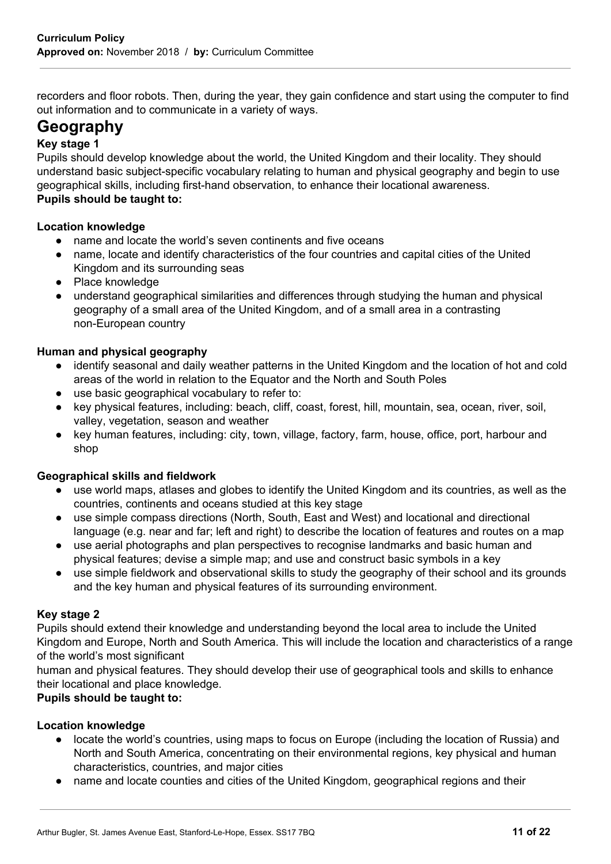recorders and floor robots. Then, during the year, they gain confidence and start using the computer to find out information and to communicate in a variety of ways.

# **Geography**

# **Key stage 1**

Pupils should develop knowledge about the world, the United Kingdom and their locality. They should understand basic subject-specific vocabulary relating to human and physical geography and begin to use geographical skills, including first-hand observation, to enhance their locational awareness. **Pupils should be taught to:**

# **Location knowledge**

- name and locate the world's seven continents and five oceans
- name, locate and identify characteristics of the four countries and capital cities of the United Kingdom and its surrounding seas
- Place knowledge
- understand geographical similarities and differences through studying the human and physical geography of a small area of the United Kingdom, and of a small area in a contrasting non-European country

#### **Human and physical geography**

- identify seasonal and daily weather patterns in the United Kingdom and the location of hot and cold areas of the world in relation to the Equator and the North and South Poles
- use basic geographical vocabulary to refer to:
- key physical features, including: beach, cliff, coast, forest, hill, mountain, sea, ocean, river, soil, valley, vegetation, season and weather
- key human features, including: city, town, village, factory, farm, house, office, port, harbour and shop

#### **Geographical skills and fieldwork**

- use world maps, atlases and globes to identify the United Kingdom and its countries, as well as the countries, continents and oceans studied at this key stage
- use simple compass directions (North, South, East and West) and locational and directional language (e.g. near and far; left and right) to describe the location of features and routes on a map
- use aerial photographs and plan perspectives to recognise landmarks and basic human and physical features; devise a simple map; and use and construct basic symbols in a key
- use simple fieldwork and observational skills to study the geography of their school and its grounds and the key human and physical features of its surrounding environment.

#### **Key stage 2**

Pupils should extend their knowledge and understanding beyond the local area to include the United Kingdom and Europe, North and South America. This will include the location and characteristics of a range of the world's most significant

human and physical features. They should develop their use of geographical tools and skills to enhance their locational and place knowledge.

# **Pupils should be taught to:**

#### **Location knowledge**

- locate the world's countries, using maps to focus on Europe (including the location of Russia) and North and South America, concentrating on their environmental regions, key physical and human characteristics, countries, and major cities
- name and locate counties and cities of the United Kingdom, geographical regions and their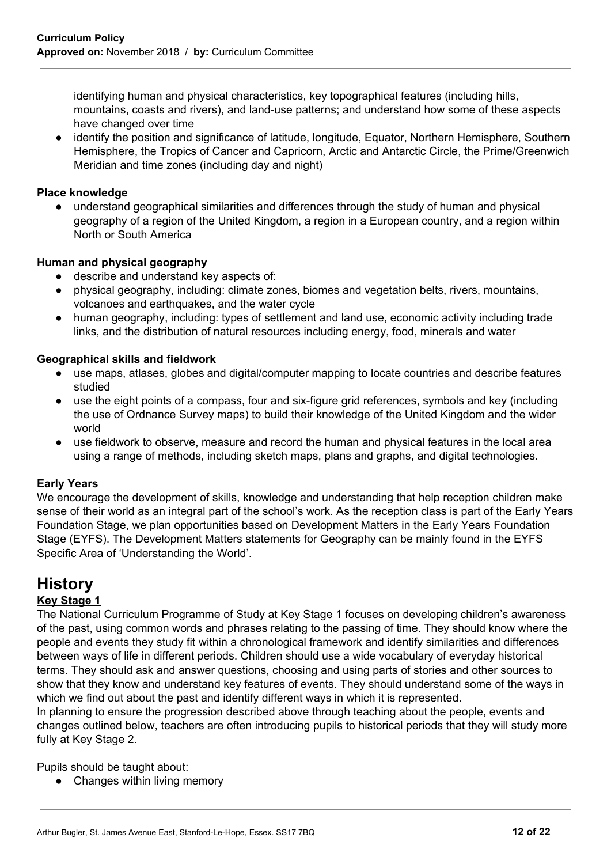identifying human and physical characteristics, key topographical features (including hills, mountains, coasts and rivers), and land-use patterns; and understand how some of these aspects have changed over time

identify the position and significance of latitude, longitude, Equator, Northern Hemisphere, Southern Hemisphere, the Tropics of Cancer and Capricorn, Arctic and Antarctic Circle, the Prime/Greenwich Meridian and time zones (including day and night)

## **Place knowledge**

● understand geographical similarities and differences through the study of human and physical geography of a region of the United Kingdom, a region in a European country, and a region within North or South America

# **Human and physical geography**

- describe and understand key aspects of:
- physical geography, including: climate zones, biomes and vegetation belts, rivers, mountains, volcanoes and earthquakes, and the water cycle
- human geography, including: types of settlement and land use, economic activity including trade links, and the distribution of natural resources including energy, food, minerals and water

#### **Geographical skills and fieldwork**

- use maps, atlases, globes and digital/computer mapping to locate countries and describe features studied
- use the eight points of a compass, four and six-figure grid references, symbols and key (including the use of Ordnance Survey maps) to build their knowledge of the United Kingdom and the wider world
- use fieldwork to observe, measure and record the human and physical features in the local area using a range of methods, including sketch maps, plans and graphs, and digital technologies.

#### **Early Years**

We encourage the development of skills, knowledge and understanding that help reception children make sense of their world as an integral part of the school's work. As the reception class is part of the Early Years Foundation Stage, we plan opportunities based on Development Matters in the Early Years Foundation Stage (EYFS). The Development Matters statements for Geography can be mainly found in the EYFS Specific Area of 'Understanding the World'.

# **History**

# **Key Stage 1**

The National Curriculum Programme of Study at Key Stage 1 focuses on developing children's awareness of the past, using common words and phrases relating to the passing of time. They should know where the people and events they study fit within a chronological framework and identify similarities and differences between ways of life in different periods. Children should use a wide vocabulary of everyday historical terms. They should ask and answer questions, choosing and using parts of stories and other sources to show that they know and understand key features of events. They should understand some of the ways in which we find out about the past and identify different ways in which it is represented.

In planning to ensure the progression described above through teaching about the people, events and changes outlined below, teachers are often introducing pupils to historical periods that they will study more fully at Key Stage 2.

Pupils should be taught about:

• Changes within living memory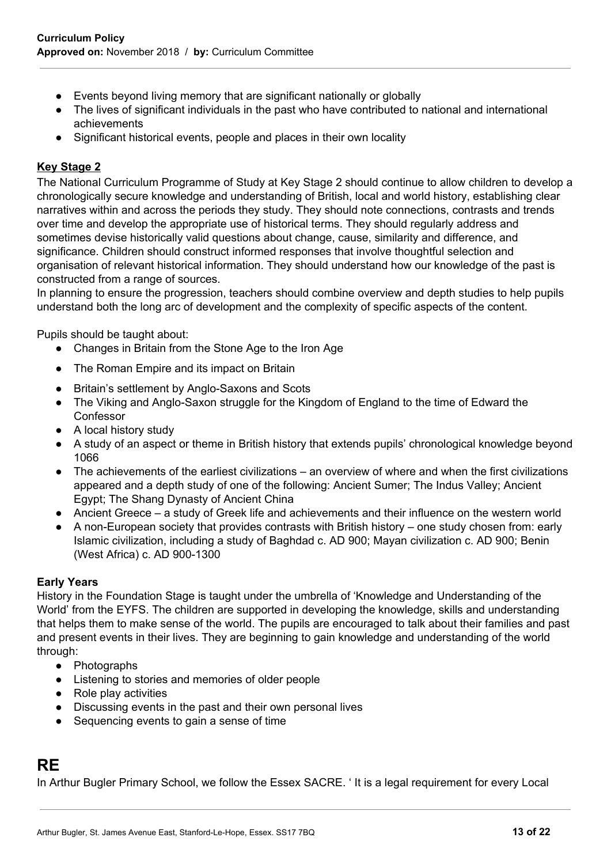- Events beyond living memory that are significant nationally or globally
- The lives of significant individuals in the past who have contributed to national and international achievements
- Significant historical events, people and places in their own locality

# **Key Stage 2**

The National Curriculum Programme of Study at Key Stage 2 should continue to allow children to develop a chronologically secure knowledge and understanding of British, local and world history, establishing clear narratives within and across the periods they study. They should note connections, contrasts and trends over time and develop the appropriate use of historical terms. They should regularly address and sometimes devise historically valid questions about change, cause, similarity and difference, and significance. Children should construct informed responses that involve thoughtful selection and organisation of relevant historical information. They should understand how our knowledge of the past is constructed from a range of sources.

In planning to ensure the progression, teachers should combine overview and depth studies to help pupils understand both the long arc of development and the complexity of specific aspects of the content.

Pupils should be taught about:

- Changes in Britain from the Stone Age to the Iron Age
- The Roman Empire and its impact on Britain
- Britain's settlement by Anglo-Saxons and Scots
- The Viking and Anglo-Saxon struggle for the Kingdom of England to the time of Edward the Confessor
- A local history study
- A study of an aspect or theme in British history that extends pupils' chronological knowledge beyond 1066
- The achievements of the earliest civilizations an overview of where and when the first civilizations appeared and a depth study of one of the following: Ancient Sumer; The Indus Valley; Ancient Egypt; The Shang Dynasty of Ancient China
- Ancient Greece a study of Greek life and achievements and their influence on the western world
- A non-European society that provides contrasts with British history one study chosen from: early Islamic civilization, including a study of Baghdad c. AD 900; Mayan civilization c. AD 900; Benin (West Africa) c. AD 900-1300

#### **Early Years**

History in the Foundation Stage is taught under the umbrella of 'Knowledge and Understanding of the World' from the EYFS. The children are supported in developing the knowledge, skills and understanding that helps them to make sense of the world. The pupils are encouraged to talk about their families and past and present events in their lives. They are beginning to gain knowledge and understanding of the world through:

- Photographs
- Listening to stories and memories of older people
- Role play activities
- Discussing events in the past and their own personal lives
- Sequencing events to gain a sense of time

# **RE**

In Arthur Bugler Primary School, we follow the Essex SACRE. ' It is a legal requirement for every Local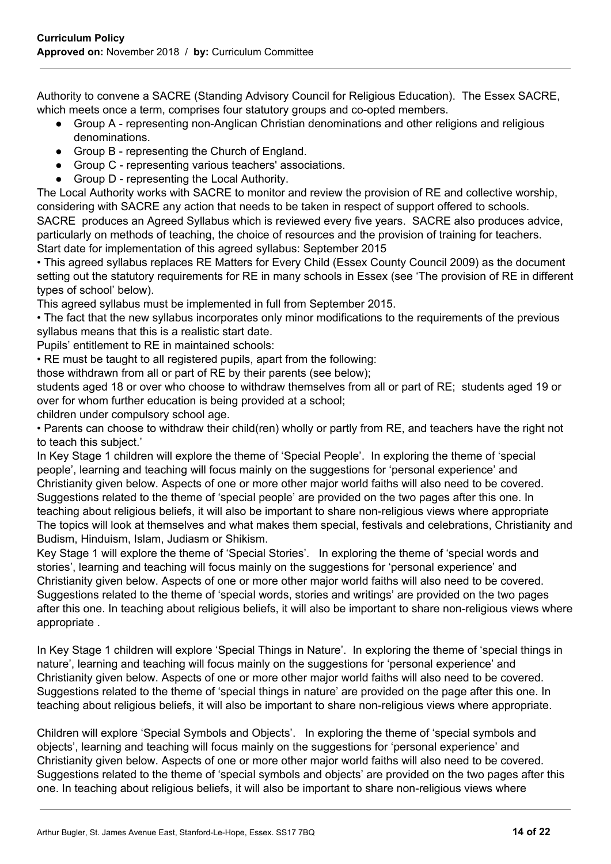Authority to convene a SACRE (Standing Advisory Council for Religious Education). The Essex SACRE, which meets once a term, comprises four statutory groups and co-opted members.

- Group A representing non-Anglican Christian denominations and other religions and religious denominations.
- Group B representing the Church of England.
- Group C representing various teachers' associations.
- Group D representing the Local Authority.

The Local Authority works with SACRE to monitor and review the provision of RE and collective worship, considering with SACRE any action that needs to be taken in respect of support offered to schools. SACRE produces an Agreed Syllabus which is reviewed every five years. SACRE also produces advice, particularly on methods of teaching, the choice of resources and the provision of training for teachers.

Start date for implementation of this agreed syllabus: September 2015

• This agreed syllabus replaces RE Matters for Every Child (Essex County Council 2009) as the document setting out the statutory requirements for RE in many schools in Essex (see 'The provision of RE in different types of school' below).

This agreed syllabus must be implemented in full from September 2015.

• The fact that the new syllabus incorporates only minor modifications to the requirements of the previous syllabus means that this is a realistic start date.

Pupils' entitlement to RE in maintained schools:

• RE must be taught to all registered pupils, apart from the following:

those withdrawn from all or part of RE by their parents (see below);

students aged 18 or over who choose to withdraw themselves from all or part of RE; students aged 19 or over for whom further education is being provided at a school;

children under compulsory school age.

• Parents can choose to withdraw their child(ren) wholly or partly from RE, and teachers have the right not to teach this subject.'

In Key Stage 1 children will explore the theme of 'Special People'. In exploring the theme of 'special people', learning and teaching will focus mainly on the suggestions for 'personal experience' and Christianity given below. Aspects of one or more other major world faiths will also need to be covered. Suggestions related to the theme of 'special people' are provided on the two pages after this one. In teaching about religious beliefs, it will also be important to share non-religious views where appropriate The topics will look at themselves and what makes them special, festivals and celebrations, Christianity and Budism, Hinduism, Islam, Judiasm or Shikism.

Key Stage 1 will explore the theme of 'Special Stories'. In exploring the theme of 'special words and stories', learning and teaching will focus mainly on the suggestions for 'personal experience' and Christianity given below. Aspects of one or more other major world faiths will also need to be covered. Suggestions related to the theme of 'special words, stories and writings' are provided on the two pages after this one. In teaching about religious beliefs, it will also be important to share non-religious views where appropriate .

In Key Stage 1 children will explore 'Special Things in Nature'. In exploring the theme of 'special things in nature', learning and teaching will focus mainly on the suggestions for 'personal experience' and Christianity given below. Aspects of one or more other major world faiths will also need to be covered. Suggestions related to the theme of 'special things in nature' are provided on the page after this one. In teaching about religious beliefs, it will also be important to share non-religious views where appropriate.

Children will explore 'Special Symbols and Objects'. In exploring the theme of 'special symbols and objects', learning and teaching will focus mainly on the suggestions for 'personal experience' and Christianity given below. Aspects of one or more other major world faiths will also need to be covered. Suggestions related to the theme of 'special symbols and objects' are provided on the two pages after this one. In teaching about religious beliefs, it will also be important to share non-religious views where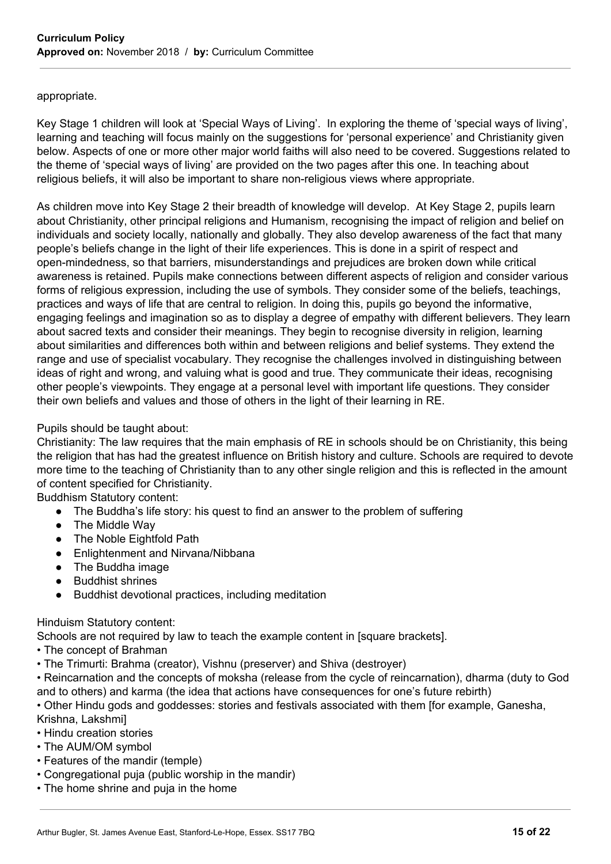#### appropriate.

Key Stage 1 children will look at 'Special Ways of Living'. In exploring the theme of 'special ways of living', learning and teaching will focus mainly on the suggestions for 'personal experience' and Christianity given below. Aspects of one or more other major world faiths will also need to be covered. Suggestions related to the theme of 'special ways of living' are provided on the two pages after this one. In teaching about religious beliefs, it will also be important to share non-religious views where appropriate.

As children move into Key Stage 2 their breadth of knowledge will develop. At Key Stage 2, pupils learn about Christianity, other principal religions and Humanism, recognising the impact of religion and belief on individuals and society locally, nationally and globally. They also develop awareness of the fact that many people's beliefs change in the light of their life experiences. This is done in a spirit of respect and open-mindedness, so that barriers, misunderstandings and prejudices are broken down while critical awareness is retained. Pupils make connections between different aspects of religion and consider various forms of religious expression, including the use of symbols. They consider some of the beliefs, teachings, practices and ways of life that are central to religion. In doing this, pupils go beyond the informative, engaging feelings and imagination so as to display a degree of empathy with different believers. They learn about sacred texts and consider their meanings. They begin to recognise diversity in religion, learning about similarities and differences both within and between religions and belief systems. They extend the range and use of specialist vocabulary. They recognise the challenges involved in distinguishing between ideas of right and wrong, and valuing what is good and true. They communicate their ideas, recognising other people's viewpoints. They engage at a personal level with important life questions. They consider their own beliefs and values and those of others in the light of their learning in RE.

## Pupils should be taught about:

Christianity: The law requires that the main emphasis of RE in schools should be on Christianity, this being the religion that has had the greatest influence on British history and culture. Schools are required to devote more time to the teaching of Christianity than to any other single religion and this is reflected in the amount of content specified for Christianity.

Buddhism Statutory content:

- The Buddha's life story: his quest to find an answer to the problem of suffering
- The Middle Way
- The Noble Eightfold Path
- Enlightenment and Nirvana/Nibbana
- The Buddha image
- Buddhist shrines
- Buddhist devotional practices, including meditation

#### Hinduism Statutory content:

Schools are not required by law to teach the example content in [square brackets].

- The concept of Brahman
- The Trimurti: Brahma (creator), Vishnu (preserver) and Shiva (destroyer)

• Reincarnation and the concepts of moksha (release from the cycle of reincarnation), dharma (duty to God and to others) and karma (the idea that actions have consequences for one's future rebirth)

• Other Hindu gods and goddesses: stories and festivals associated with them [for example, Ganesha, Krishna, Lakshmi]

- Hindu creation stories
- The AUM/OM symbol
- Features of the mandir (temple)
- Congregational puja (public worship in the mandir)
- The home shrine and puja in the home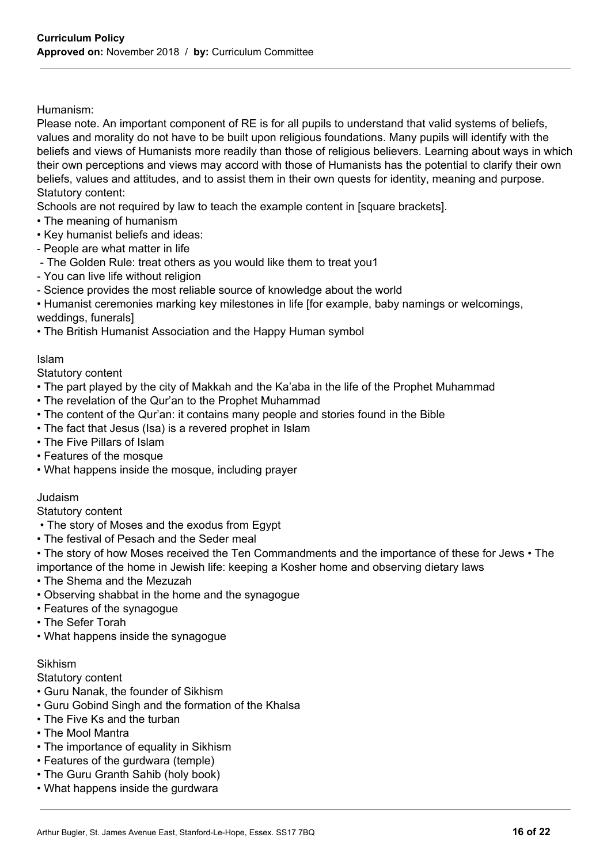#### Humanism:

Please note. An important component of RE is for all pupils to understand that valid systems of beliefs, values and morality do not have to be built upon religious foundations. Many pupils will identify with the beliefs and views of Humanists more readily than those of religious believers. Learning about ways in which their own perceptions and views may accord with those of Humanists has the potential to clarify their own beliefs, values and attitudes, and to assist them in their own quests for identity, meaning and purpose. Statutory content:

Schools are not required by law to teach the example content in [square brackets].

- The meaning of humanism
- Key humanist beliefs and ideas:
- People are what matter in life
- The Golden Rule: treat others as you would like them to treat you1
- You can live life without religion
- Science provides the most reliable source of knowledge about the world

• Humanist ceremonies marking key milestones in life [for example, baby namings or welcomings, weddings, funerals]

• The British Humanist Association and the Happy Human symbol

#### Islam

Statutory content

- The part played by the city of Makkah and the Ka'aba in the life of the Prophet Muhammad
- The revelation of the Qur'an to the Prophet Muhammad
- The content of the Qur'an: it contains many people and stories found in the Bible
- The fact that Jesus (Isa) is a revered prophet in Islam
- The Five Pillars of Islam
- Features of the mosque
- What happens inside the mosque, including prayer

#### Judaism

#### Statutory content

- The story of Moses and the exodus from Egypt
- The festival of Pesach and the Seder meal
- The story of how Moses received the Ten Commandments and the importance of these for Jews The importance of the home in Jewish life: keeping a Kosher home and observing dietary laws
- The Shema and the Mezuzah
- Observing shabbat in the home and the synagogue
- Features of the synagogue
- The Sefer Torah
- What happens inside the synagogue

#### Sikhism

Statutory content

- Guru Nanak, the founder of Sikhism
- Guru Gobind Singh and the formation of the Khalsa
- The Five Ks and the turban
- The Mool Mantra
- The importance of equality in Sikhism
- Features of the gurdwara (temple)
- The Guru Granth Sahib (holy book)
- What happens inside the gurdwara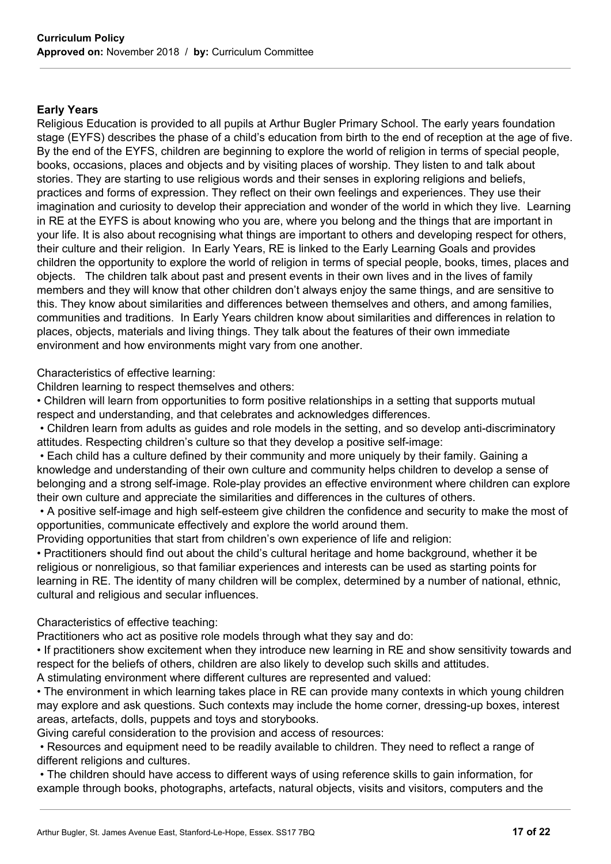#### **Early Years**

Religious Education is provided to all pupils at Arthur Bugler Primary School. The early years foundation stage (EYFS) describes the phase of a child's education from birth to the end of reception at the age of five. By the end of the EYFS, children are beginning to explore the world of religion in terms of special people, books, occasions, places and objects and by visiting places of worship. They listen to and talk about stories. They are starting to use religious words and their senses in exploring religions and beliefs, practices and forms of expression. They reflect on their own feelings and experiences. They use their imagination and curiosity to develop their appreciation and wonder of the world in which they live. Learning in RE at the EYFS is about knowing who you are, where you belong and the things that are important in your life. It is also about recognising what things are important to others and developing respect for others, their culture and their religion. In Early Years, RE is linked to the Early Learning Goals and provides children the opportunity to explore the world of religion in terms of special people, books, times, places and objects. The children talk about past and present events in their own lives and in the lives of family members and they will know that other children don't always enjoy the same things, and are sensitive to this. They know about similarities and differences between themselves and others, and among families, communities and traditions. In Early Years children know about similarities and differences in relation to places, objects, materials and living things. They talk about the features of their own immediate environment and how environments might vary from one another.

Characteristics of effective learning:

Children learning to respect themselves and others:

• Children will learn from opportunities to form positive relationships in a setting that supports mutual respect and understanding, and that celebrates and acknowledges differences.

• Children learn from adults as guides and role models in the setting, and so develop anti-discriminatory attitudes. Respecting children's culture so that they develop a positive self-image:

• Each child has a culture defined by their community and more uniquely by their family. Gaining a knowledge and understanding of their own culture and community helps children to develop a sense of belonging and a strong self-image. Role-play provides an effective environment where children can explore their own culture and appreciate the similarities and differences in the cultures of others.

• A positive self-image and high self-esteem give children the confidence and security to make the most of opportunities, communicate effectively and explore the world around them.

Providing opportunities that start from children's own experience of life and religion:

• Practitioners should find out about the child's cultural heritage and home background, whether it be religious or nonreligious, so that familiar experiences and interests can be used as starting points for learning in RE. The identity of many children will be complex, determined by a number of national, ethnic, cultural and religious and secular influences.

# Characteristics of effective teaching:

Practitioners who act as positive role models through what they say and do:

• If practitioners show excitement when they introduce new learning in RE and show sensitivity towards and respect for the beliefs of others, children are also likely to develop such skills and attitudes. A stimulating environment where different cultures are represented and valued:

• The environment in which learning takes place in RE can provide many contexts in which young children may explore and ask questions. Such contexts may include the home corner, dressing-up boxes, interest areas, artefacts, dolls, puppets and toys and storybooks.

Giving careful consideration to the provision and access of resources:

• Resources and equipment need to be readily available to children. They need to reflect a range of different religions and cultures.

• The children should have access to different ways of using reference skills to gain information, for example through books, photographs, artefacts, natural objects, visits and visitors, computers and the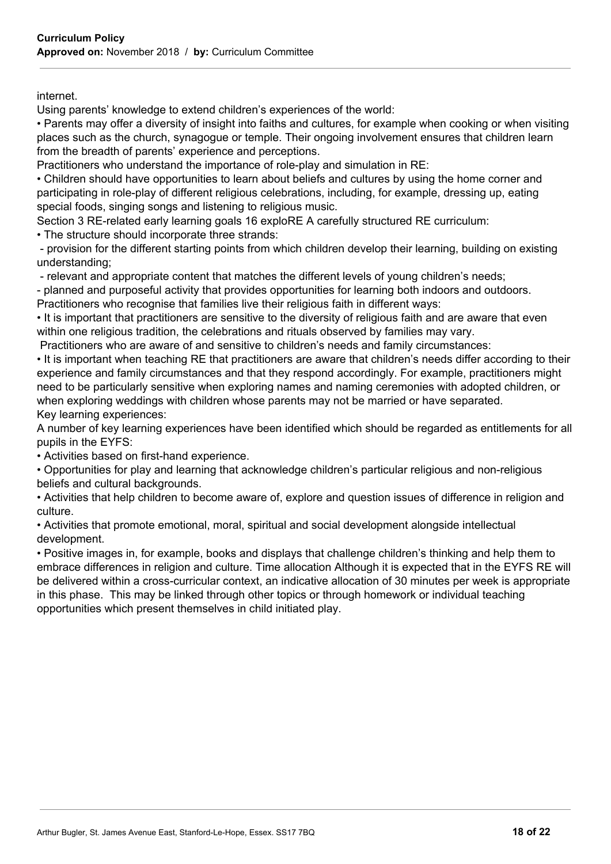internet.

Using parents' knowledge to extend children's experiences of the world:

• Parents may offer a diversity of insight into faiths and cultures, for example when cooking or when visiting places such as the church, synagogue or temple. Their ongoing involvement ensures that children learn from the breadth of parents' experience and perceptions.

Practitioners who understand the importance of role-play and simulation in RE:

• Children should have opportunities to learn about beliefs and cultures by using the home corner and participating in role-play of different religious celebrations, including, for example, dressing up, eating special foods, singing songs and listening to religious music.

Section 3 RE-related early learning goals 16 exploRE A carefully structured RE curriculum: • The structure should incorporate three strands:

- provision for the different starting points from which children develop their learning, building on existing understanding;

- relevant and appropriate content that matches the different levels of young children's needs;

- planned and purposeful activity that provides opportunities for learning both indoors and outdoors.

Practitioners who recognise that families live their religious faith in different ways:

• It is important that practitioners are sensitive to the diversity of religious faith and are aware that even within one religious tradition, the celebrations and rituals observed by families may vary.

Practitioners who are aware of and sensitive to children's needs and family circumstances:

• It is important when teaching RE that practitioners are aware that children's needs differ according to their experience and family circumstances and that they respond accordingly. For example, practitioners might need to be particularly sensitive when exploring names and naming ceremonies with adopted children, or when exploring weddings with children whose parents may not be married or have separated. Key learning experiences:

A number of key learning experiences have been identified which should be regarded as entitlements for all pupils in the EYFS:

• Activities based on first-hand experience.

• Opportunities for play and learning that acknowledge children's particular religious and non-religious beliefs and cultural backgrounds.

• Activities that help children to become aware of, explore and question issues of difference in religion and culture.

• Activities that promote emotional, moral, spiritual and social development alongside intellectual development.

• Positive images in, for example, books and displays that challenge children's thinking and help them to embrace differences in religion and culture. Time allocation Although it is expected that in the EYFS RE will be delivered within a cross-curricular context, an indicative allocation of 30 minutes per week is appropriate in this phase. This may be linked through other topics or through homework or individual teaching opportunities which present themselves in child initiated play.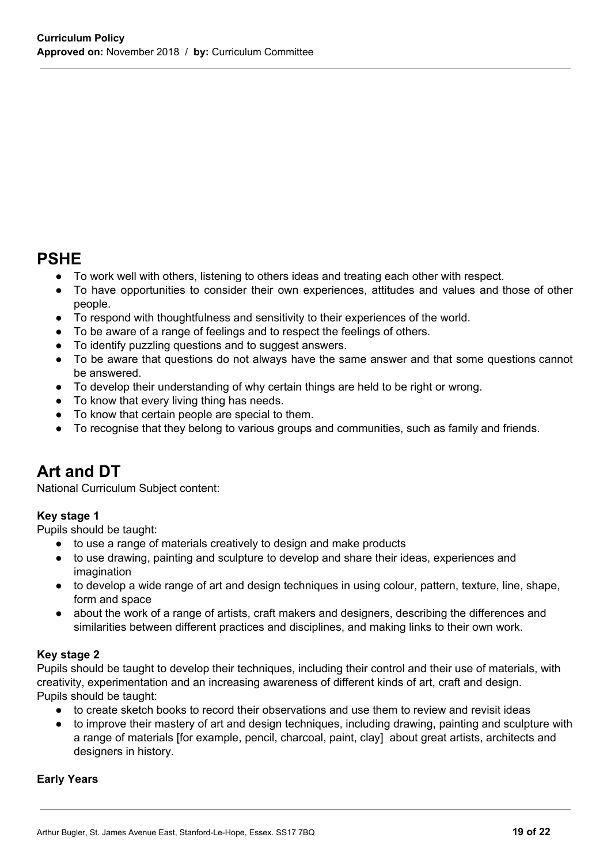# **PSHE**

- To work well with others, listening to others ideas and treating each other with respect.
- To have opportunities to consider their own experiences, attitudes and values and those of other people.
- To respond with thoughtfulness and sensitivity to their experiences of the world.
- To be aware of a range of feelings and to respect the feelings of others.
- To identify puzzling questions and to suggest answers.
- To be aware that questions do not always have the same answer and that some questions cannot be answered.
- To develop their understanding of why certain things are held to be right or wrong.
- To know that every living thing has needs.
- To know that certain people are special to them.
- To recognise that they belong to various groups and communities, such as family and friends.

# **Art and DT**

National Curriculum Subject content:

# **Key stage 1**

Pupils should be taught:

- to use a range of materials creatively to design and make products
- to use drawing, painting and sculpture to develop and share their ideas, experiences and imagination
- to develop a wide range of art and design techniques in using colour, pattern, texture, line, shape, form and space
- about the work of a range of artists, craft makers and designers, describing the differences and similarities between different practices and disciplines, and making links to their own work.

# **Key stage 2**

Pupils should be taught to develop their techniques, including their control and their use of materials, with creativity, experimentation and an increasing awareness of different kinds of art, craft and design. Pupils should be taught:

- to create sketch books to record their observations and use them to review and revisit ideas
- to improve their mastery of art and design techniques, including drawing, painting and sculpture with a range of materials [for example, pencil, charcoal, paint, clay] about great artists, architects and designers in history.

# **Early Years**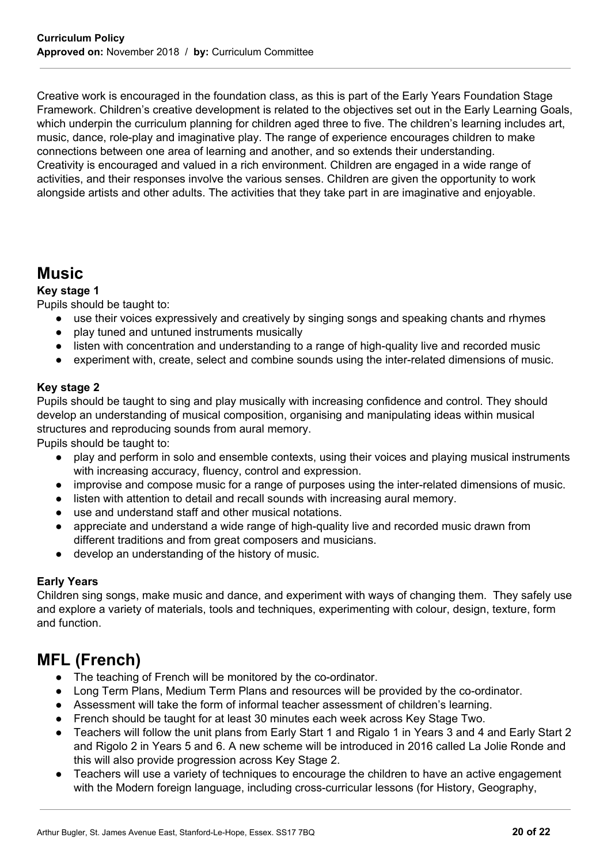Creative work is encouraged in the foundation class, as this is part of the Early Years Foundation Stage Framework. Children's creative development is related to the objectives set out in the Early Learning Goals, which underpin the curriculum planning for children aged three to five. The children's learning includes art, music, dance, role-play and imaginative play. The range of experience encourages children to make connections between one area of learning and another, and so extends their understanding. Creativity is encouraged and valued in a rich environment. Children are engaged in a wide range of activities, and their responses involve the various senses. Children are given the opportunity to work alongside artists and other adults. The activities that they take part in are imaginative and enjoyable.

# **Music**

# **Key stage 1**

Pupils should be taught to:

- use their voices expressively and creatively by singing songs and speaking chants and rhymes
- play tuned and untuned instruments musically
- listen with concentration and understanding to a range of high-quality live and recorded music
- experiment with, create, select and combine sounds using the inter-related dimensions of music.

# **Key stage 2**

Pupils should be taught to sing and play musically with increasing confidence and control. They should develop an understanding of musical composition, organising and manipulating ideas within musical structures and reproducing sounds from aural memory.

Pupils should be taught to:

- play and perform in solo and ensemble contexts, using their voices and playing musical instruments with increasing accuracy, fluency, control and expression.
- improvise and compose music for a range of purposes using the inter-related dimensions of music.
- listen with attention to detail and recall sounds with increasing aural memory.
- use and understand staff and other musical notations.
- appreciate and understand a wide range of high-quality live and recorded music drawn from different traditions and from great composers and musicians.
- develop an understanding of the history of music.

# **Early Years**

Children sing songs, make music and dance, and experiment with ways of changing them. They safely use and explore a variety of materials, tools and techniques, experimenting with colour, design, texture, form and function.

# **MFL (French)**

- The teaching of French will be monitored by the co-ordinator.
- Long Term Plans, Medium Term Plans and resources will be provided by the co-ordinator.
- Assessment will take the form of informal teacher assessment of children's learning.
- French should be taught for at least 30 minutes each week across Key Stage Two.
- Teachers will follow the unit plans from Early Start 1 and Rigalo 1 in Years 3 and 4 and Early Start 2 and Rigolo 2 in Years 5 and 6. A new scheme will be introduced in 2016 called La Jolie Ronde and this will also provide progression across Key Stage 2.
- Teachers will use a variety of techniques to encourage the children to have an active engagement with the Modern foreign language, including cross-curricular lessons (for History, Geography,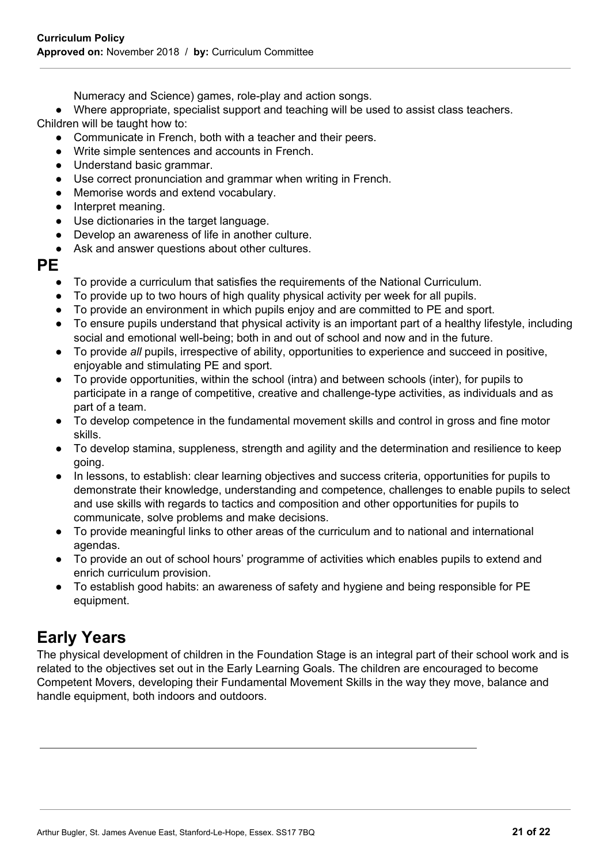Numeracy and Science) games, role-play and action songs.

● Where appropriate, specialist support and teaching will be used to assist class teachers.

Children will be taught how to:

- Communicate in French, both with a teacher and their peers.
- Write simple sentences and accounts in French.
- Understand basic grammar.
- Use correct pronunciation and grammar when writing in French.
- Memorise words and extend vocabulary.
- Interpret meaning.
- Use dictionaries in the target language.
- Develop an awareness of life in another culture.
- Ask and answer questions about other cultures.

# **PE**

- To provide a curriculum that satisfies the requirements of the National Curriculum.
- To provide up to two hours of high quality physical activity per week for all pupils.
- To provide an environment in which pupils enjoy and are committed to PE and sport.
- To ensure pupils understand that physical activity is an important part of a healthy lifestyle, including social and emotional well-being; both in and out of school and now and in the future.
- To provide *all* pupils, irrespective of ability, opportunities to experience and succeed in positive, enjoyable and stimulating PE and sport.
- To provide opportunities, within the school (intra) and between schools (inter), for pupils to participate in a range of competitive, creative and challenge-type activities, as individuals and as part of a team.
- To develop competence in the fundamental movement skills and control in gross and fine motor skills.
- To develop stamina, suppleness, strength and agility and the determination and resilience to keep going.
- In lessons, to establish: clear learning objectives and success criteria, opportunities for pupils to demonstrate their knowledge, understanding and competence, challenges to enable pupils to select and use skills with regards to tactics and composition and other opportunities for pupils to communicate, solve problems and make decisions.
- To provide meaningful links to other areas of the curriculum and to national and international agendas.
- To provide an out of school hours' programme of activities which enables pupils to extend and enrich curriculum provision.
- To establish good habits: an awareness of safety and hygiene and being responsible for PE equipment.

# **Early Years**

The physical development of children in the Foundation Stage is an integral part of their school work and is related to the objectives set out in the Early Learning Goals. The children are encouraged to become Competent Movers, developing their Fundamental Movement Skills in the way they move, balance and handle equipment, both indoors and outdoors.